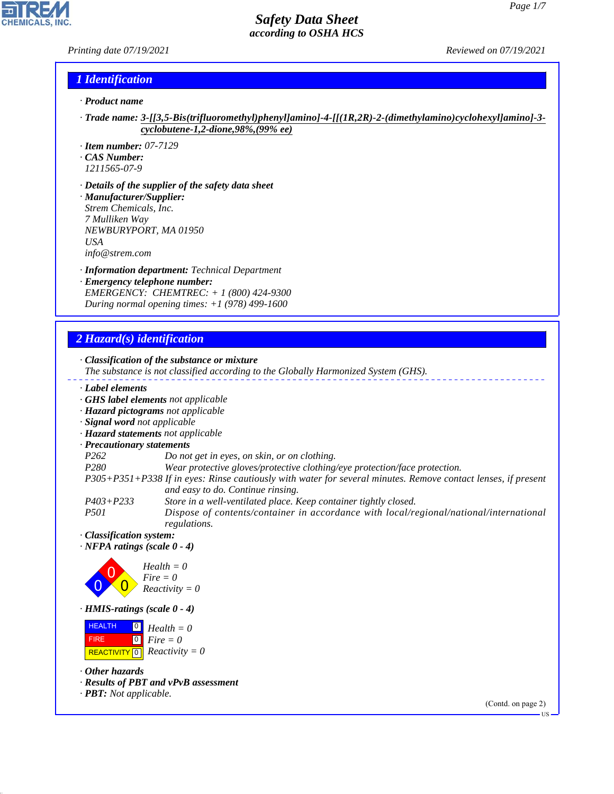## *Printing date 07/19/2021 Reviewed on 07/19/2021*

R

**CHEMICALS, INC.** 

## *1 Identification*

- *· Product name*
- *· Trade name: 3-[[3,5-Bis(trifluoromethyl)phenyl]amino]-4-[[(1R,2R)-2-(dimethylamino)cyclohexyl]amino]-3 cyclobutene-1,2-dione,98%,(99% ee)*
- *· Item number: 07-7129*
- *· CAS Number:*
- *1211565-07-9*
- *· Details of the supplier of the safety data sheet · Manufacturer/Supplier: Strem Chemicals, Inc. 7 Mulliken Way NEWBURYPORT, MA 01950 USA info@strem.com*
- *· Information department: Technical Department · Emergency telephone number: EMERGENCY: CHEMTREC: + 1 (800) 424-9300 During normal opening times: +1 (978) 499-1600*

# *2 Hazard(s) identification*

44.1.1

| · Classification of the substance or mixture<br>The substance is not classified according to the Globally Harmonized System (GHS).                            |        |
|---------------------------------------------------------------------------------------------------------------------------------------------------------------|--------|
| Label elements                                                                                                                                                |        |
| GHS label elements not applicable                                                                                                                             |        |
| · Hazard pictograms not applicable                                                                                                                            |        |
| · Signal word not applicable                                                                                                                                  |        |
| · Hazard statements not applicable                                                                                                                            |        |
| · Precautionary statements                                                                                                                                    |        |
| P <sub>262</sub><br>Do not get in eyes, on skin, or on clothing.                                                                                              |        |
| P280<br>Wear protective gloves/protective clothing/eye protection/face protection.                                                                            |        |
| P305+P351+P338 If in eyes: Rinse cautiously with water for several minutes. Remove contact lenses, if present<br>and easy to do. Continue rinsing.            |        |
| $P403 + P233$<br>Store in a well-ventilated place. Keep container tightly closed.                                                                             |        |
| <i>P501</i><br>Dispose of contents/container in accordance with local/regional/national/international<br>regulations.                                         |        |
| · Classification system:                                                                                                                                      |        |
| $\cdot$ NFPA ratings (scale 0 - 4)                                                                                                                            |        |
| $Health = 0$<br>$Fire = 0$<br>$Reactivity = 0$                                                                                                                |        |
| $\cdot$ HMIS-ratings (scale $0 - 4$ )                                                                                                                         |        |
| <b>HEALTH</b><br>$\boxed{0}$<br>$Health = 0$<br>$\boxed{0}$<br>$Fire = 0$<br><b>FIRE</b><br>$Reactivity = 0$<br><b>REACTIVITY</b><br>$\overline{\phantom{0}}$ |        |
| $\cdot$ Other hazards                                                                                                                                         |        |
| · Results of PBT and vPvB assessment<br>$\cdot$ <b>PBT:</b> Not applicable.                                                                                   |        |
| (Contd. on page 2)                                                                                                                                            | $US -$ |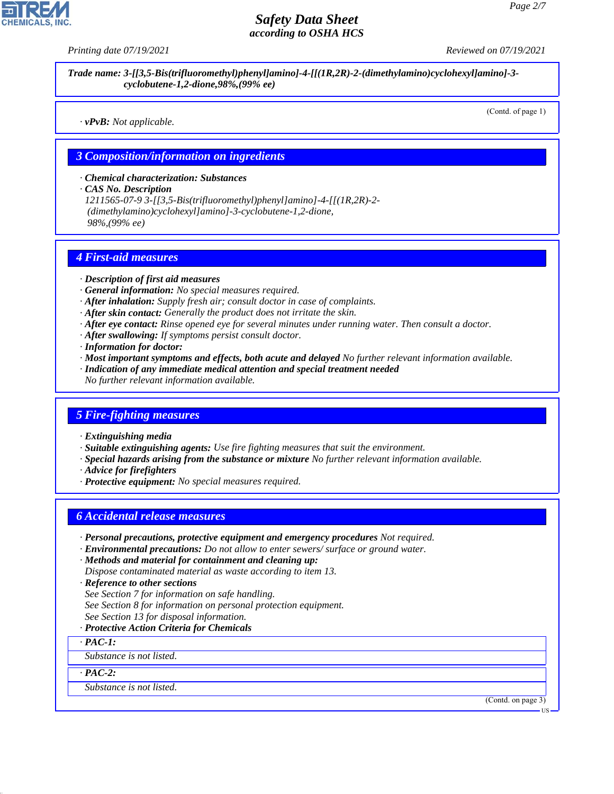*Printing date 07/19/2021 Reviewed on 07/19/2021*

*Trade name: 3-[[3,5-Bis(trifluoromethyl)phenyl]amino]-4-[[(1R,2R)-2-(dimethylamino)cyclohexyl]amino]-3 cyclobutene-1,2-dione,98%,(99% ee)*

*· vPvB: Not applicable.*

(Contd. of page 1)

#### *3 Composition/information on ingredients*

*· Chemical characterization: Substances*

*· CAS No. Description*

*1211565-07-9 3-[[3,5-Bis(trifluoromethyl)phenyl]amino]-4-[[(1R,2R)-2- (dimethylamino)cyclohexyl]amino]-3-cyclobutene-1,2-dione, 98%,(99% ee)*

#### *4 First-aid measures*

- *· Description of first aid measures*
- *· General information: No special measures required.*
- *· After inhalation: Supply fresh air; consult doctor in case of complaints.*
- *· After skin contact: Generally the product does not irritate the skin.*
- *· After eye contact: Rinse opened eye for several minutes under running water. Then consult a doctor.*
- *· After swallowing: If symptoms persist consult doctor.*
- *· Information for doctor:*
- *· Most important symptoms and effects, both acute and delayed No further relevant information available.*
- *· Indication of any immediate medical attention and special treatment needed*
- *No further relevant information available.*

## *5 Fire-fighting measures*

- *· Extinguishing media*
- *· Suitable extinguishing agents: Use fire fighting measures that suit the environment.*
- *· Special hazards arising from the substance or mixture No further relevant information available.*
- *· Advice for firefighters*
- *· Protective equipment: No special measures required.*

## *6 Accidental release measures*

- *· Personal precautions, protective equipment and emergency procedures Not required.*
- *· Environmental precautions: Do not allow to enter sewers/ surface or ground water.*
- *· Methods and material for containment and cleaning up: Dispose contaminated material as waste according to item 13.*
- *· Reference to other sections*
- *See Section 7 for information on safe handling.*
- *See Section 8 for information on personal protection equipment.*
- *See Section 13 for disposal information.*

#### *· Protective Action Criteria for Chemicals*

*· PAC-1:*

*Substance is not listed.*

*· PAC-2:*

44.1.1

*Substance is not listed.*

(Contd. on page 3)

**HS**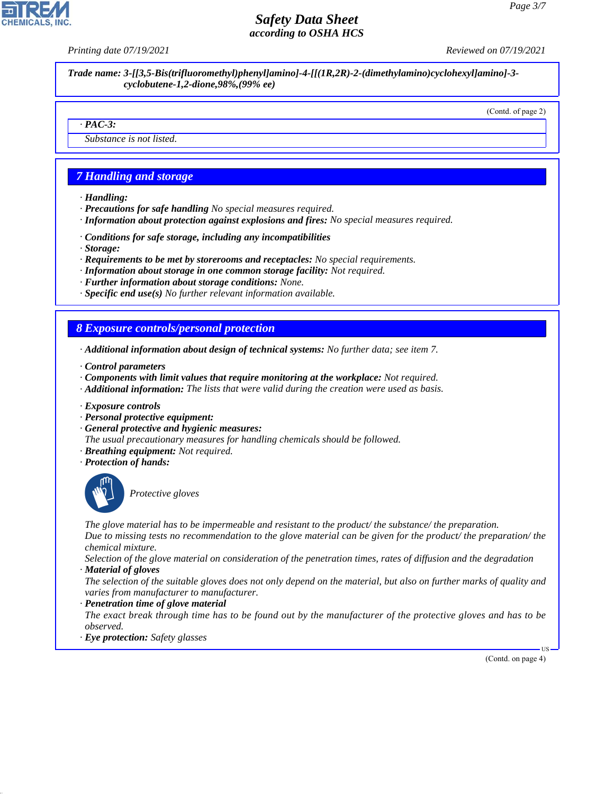*Printing date 07/19/2021 Reviewed on 07/19/2021*

*Trade name: 3-[[3,5-Bis(trifluoromethyl)phenyl]amino]-4-[[(1R,2R)-2-(dimethylamino)cyclohexyl]amino]-3 cyclobutene-1,2-dione,98%,(99% ee)*

(Contd. of page 2)

#### *· PAC-3:*

*Substance is not listed.*

# *7 Handling and storage*

- *· Handling:*
- *· Precautions for safe handling No special measures required.*
- *· Information about protection against explosions and fires: No special measures required.*
- *· Conditions for safe storage, including any incompatibilities*
- *· Storage:*
- *· Requirements to be met by storerooms and receptacles: No special requirements.*
- *· Information about storage in one common storage facility: Not required.*
- *· Further information about storage conditions: None.*
- *· Specific end use(s) No further relevant information available.*

## *8 Exposure controls/personal protection*

- *· Additional information about design of technical systems: No further data; see item 7.*
- *· Control parameters*
- *· Components with limit values that require monitoring at the workplace: Not required.*
- *· Additional information: The lists that were valid during the creation were used as basis.*
- *· Exposure controls*
- *· Personal protective equipment:*
- *· General protective and hygienic measures:*
- *The usual precautionary measures for handling chemicals should be followed.*
- *· Breathing equipment: Not required.*
- *· Protection of hands:*



44.1.1

\_S*Protective gloves*

*The glove material has to be impermeable and resistant to the product/ the substance/ the preparation.*

*Due to missing tests no recommendation to the glove material can be given for the product/ the preparation/ the chemical mixture.*

*Selection of the glove material on consideration of the penetration times, rates of diffusion and the degradation · Material of gloves*

*The selection of the suitable gloves does not only depend on the material, but also on further marks of quality and varies from manufacturer to manufacturer.*

*· Penetration time of glove material*

*The exact break through time has to be found out by the manufacturer of the protective gloves and has to be observed.*

*· Eye protection: Safety glasses*

(Contd. on page 4)

US

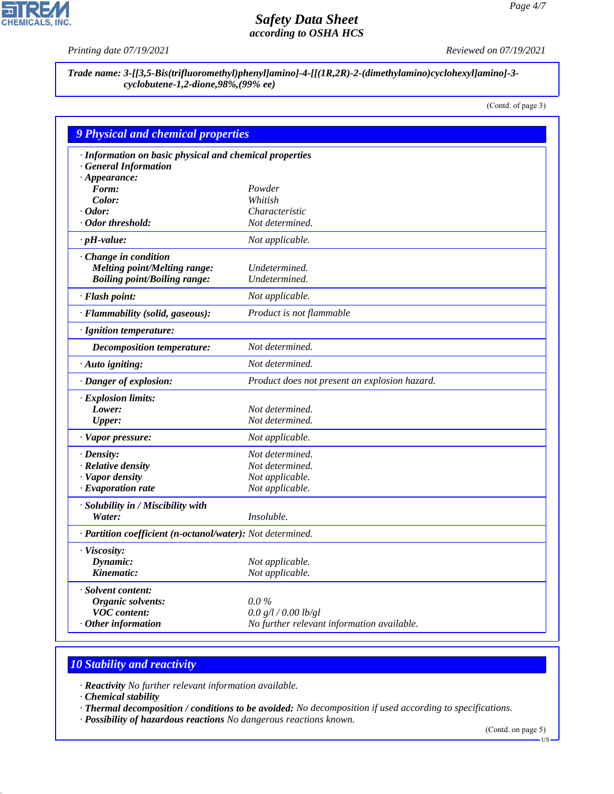P

**CHEMICALS, INC.** 

*Printing date 07/19/2021 Reviewed on 07/19/2021*

*Trade name: 3-[[3,5-Bis(trifluoromethyl)phenyl]amino]-4-[[(1R,2R)-2-(dimethylamino)cyclohexyl]amino]-3 cyclobutene-1,2-dione,98%,(99% ee)*

(Contd. of page 3)

| <b>9 Physical and chemical properties</b>                  |                                               |
|------------------------------------------------------------|-----------------------------------------------|
| · Information on basic physical and chemical properties    |                                               |
| · General Information                                      |                                               |
| $\cdot$ Appearance:                                        |                                               |
| Form:                                                      | Powder                                        |
| Color:                                                     | Whitish                                       |
| $\cdot$ Odor:                                              | Characteristic                                |
| · Odor threshold:                                          | Not determined.                               |
| $\cdot$ pH-value:                                          | Not applicable.                               |
| · Change in condition                                      |                                               |
| <b>Melting point/Melting range:</b>                        | Undetermined.                                 |
| <b>Boiling point/Boiling range:</b>                        | Undetermined.                                 |
| · Flash point:                                             | Not applicable.                               |
| · Flammability (solid, gaseous):                           | Product is not flammable                      |
| · Ignition temperature:                                    |                                               |
| <b>Decomposition temperature:</b>                          | Not determined.                               |
| · Auto igniting:                                           | Not determined.                               |
| · Danger of explosion:                                     | Product does not present an explosion hazard. |
| · Explosion limits:                                        |                                               |
| Lower:                                                     | Not determined.                               |
| <b>Upper:</b>                                              | Not determined.                               |
| $\cdot$ Vapor pressure:                                    | Not applicable.                               |
| · Density:                                                 | Not determined.                               |
| · Relative density                                         | Not determined.                               |
| · Vapor density                                            | Not applicable.                               |
| $\cdot$ Evaporation rate                                   | Not applicable.                               |
| · Solubility in / Miscibility with                         |                                               |
| Water:                                                     | Insoluble.                                    |
| · Partition coefficient (n-octanol/water): Not determined. |                                               |
| · Viscosity:                                               |                                               |
| Dynamic:                                                   | Not applicable.                               |
| Kinematic:                                                 | Not applicable.                               |
| · Solvent content:                                         |                                               |
| Organic solvents:                                          | $0.0\%$                                       |
| <b>VOC</b> content:                                        | 0.0 g/l / 0.00 lb/gl                          |
| $·$ Other information                                      | No further relevant information available.    |

# *10 Stability and reactivity*

*· Reactivity No further relevant information available.*

*· Chemical stability*

44.1.1

*· Thermal decomposition / conditions to be avoided: No decomposition if used according to specifications.*

*· Possibility of hazardous reactions No dangerous reactions known.*

(Contd. on page 5)

US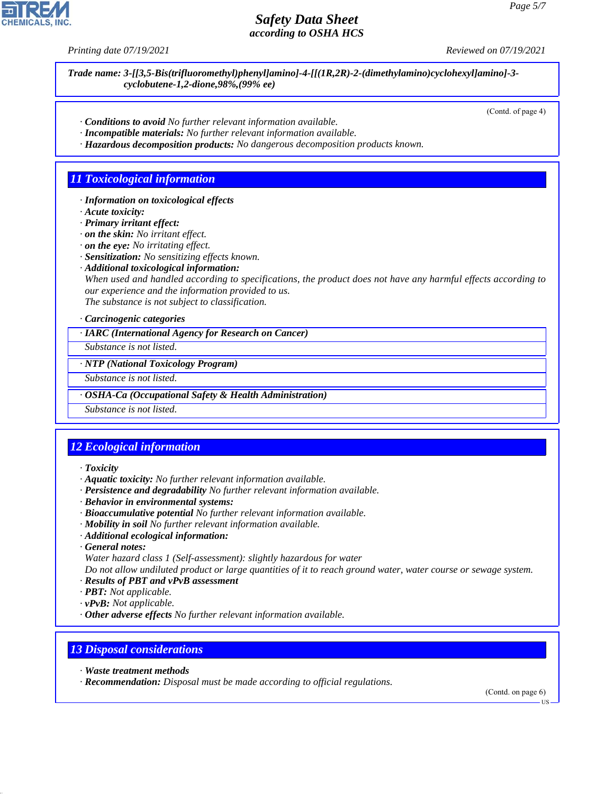*Printing date 07/19/2021 Reviewed on 07/19/2021*

*Trade name: 3-[[3,5-Bis(trifluoromethyl)phenyl]amino]-4-[[(1R,2R)-2-(dimethylamino)cyclohexyl]amino]-3 cyclobutene-1,2-dione,98%,(99% ee)*

(Contd. of page 4)

- *· Conditions to avoid No further relevant information available.*
- *· Incompatible materials: No further relevant information available.*
- *· Hazardous decomposition products: No dangerous decomposition products known.*

## *11 Toxicological information*

- *· Information on toxicological effects*
- *· Acute toxicity:*
- *· Primary irritant effect:*
- *· on the skin: No irritant effect.*
- *· on the eye: No irritating effect.*
- *· Sensitization: No sensitizing effects known.*
- *· Additional toxicological information:*

*When used and handled according to specifications, the product does not have any harmful effects according to our experience and the information provided to us. The substance is not subject to classification.*

*· Carcinogenic categories*

*· IARC (International Agency for Research on Cancer)*

*Substance is not listed.*

*· NTP (National Toxicology Program)*

*Substance is not listed.*

*· OSHA-Ca (Occupational Safety & Health Administration)*

*Substance is not listed.*

# *12 Ecological information*

- *· Toxicity*
- *· Aquatic toxicity: No further relevant information available.*
- *· Persistence and degradability No further relevant information available.*
- *· Behavior in environmental systems:*
- *· Bioaccumulative potential No further relevant information available.*
- *· Mobility in soil No further relevant information available.*
- *· Additional ecological information:*
- *· General notes:*
- *Water hazard class 1 (Self-assessment): slightly hazardous for water*

*Do not allow undiluted product or large quantities of it to reach ground water, water course or sewage system. · Results of PBT and vPvB assessment*

- *· PBT: Not applicable.*
- *· vPvB: Not applicable.*
- *· Other adverse effects No further relevant information available.*

## *13 Disposal considerations*

*· Waste treatment methods*

44.1.1

*· Recommendation: Disposal must be made according to official regulations.*

(Contd. on page 6)

US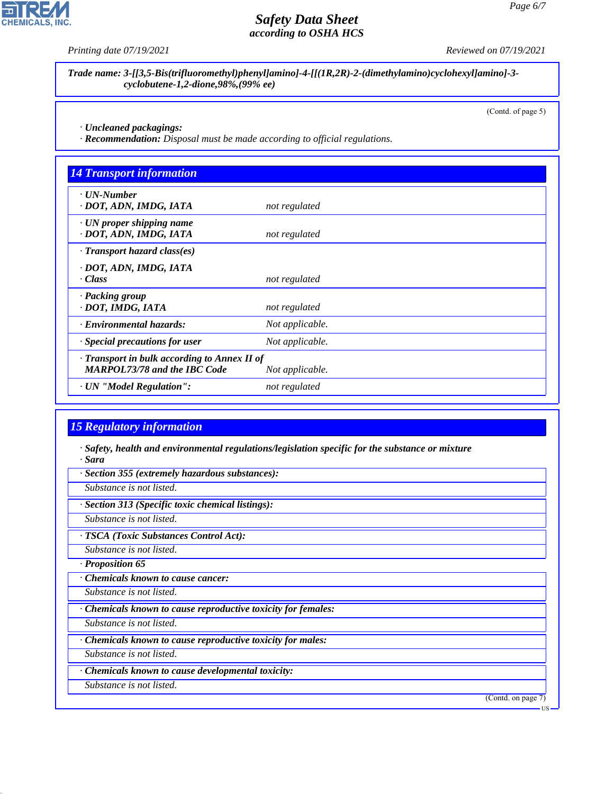*Printing date 07/19/2021 Reviewed on 07/19/2021*

*Trade name: 3-[[3,5-Bis(trifluoromethyl)phenyl]amino]-4-[[(1R,2R)-2-(dimethylamino)cyclohexyl]amino]-3 cyclobutene-1,2-dione,98%,(99% ee)*

(Contd. of page 5)

*· Uncleaned packagings:*

*· Recommendation: Disposal must be made according to official regulations.*

| <b>14 Transport information</b>                                                     |                 |  |
|-------------------------------------------------------------------------------------|-----------------|--|
| $\cdot$ UN-Number<br>· DOT, ADN, IMDG, IATA                                         | not regulated   |  |
| $\cdot$ UN proper shipping name<br>· DOT, ADN, IMDG, IATA                           | not regulated   |  |
| $\cdot$ Transport hazard class(es)                                                  |                 |  |
| · DOT, ADN, IMDG, IATA<br>· Class                                                   | not regulated   |  |
| · Packing group<br>· DOT, IMDG, IATA                                                | not regulated   |  |
| · Environmental hazards:                                                            | Not applicable. |  |
| Special precautions for user                                                        | Not applicable. |  |
| · Transport in bulk according to Annex II of<br><b>MARPOL73/78 and the IBC Code</b> | Not applicable. |  |
| · UN "Model Regulation":                                                            | not regulated   |  |

## *15 Regulatory information*

*· Safety, health and environmental regulations/legislation specific for the substance or mixture · Sara*

*· Section 355 (extremely hazardous substances):*

*Substance is not listed.*

*· Section 313 (Specific toxic chemical listings):*

*Substance is not listed.*

*· TSCA (Toxic Substances Control Act):*

*Substance is not listed.*

*· Proposition 65*

*· Chemicals known to cause cancer:*

*Substance is not listed.*

*· Chemicals known to cause reproductive toxicity for females:*

*Substance is not listed.*

*· Chemicals known to cause reproductive toxicity for males:*

*Substance is not listed.*

*· Chemicals known to cause developmental toxicity:*

*Substance is not listed.*

44.1.1

(Contd. on page 7)



US